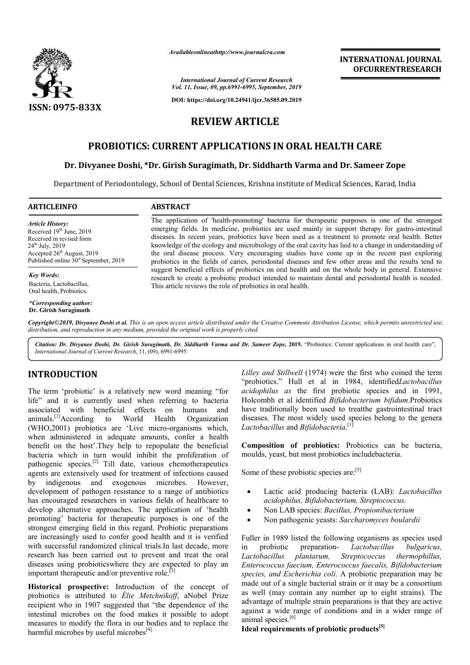

*Availableonlineathttp://www.journal Availableonlineathttp://www.journalcra.com*

**INTERNATIONAL JOURNAL OFCURRENTRESEARCH**

*International Journal of Current Research Vol. 11, Issue, 09, pp.6991-6995, September, 2019*

**DOI: https://doi.org/10.24941/ijcr.36585.09.2019**

# **REVIEW ARTICLE**

# **PROBIOTICS: CURRENT APPLICATIONS IN ORAL HEALTH HEALTH CARE**

### **Dr. Divyanee Doshi, \*Dr. Girish Suragimath, Dr Dr. Dr. Siddharth Varma and Dr Dr. Sameer Zope**

Department of Periodontology, School of Dental Sciences, Krishna institute of Medical Sciences, Karad, India

**ABSTRACT** 

*Article History:* Received 19<sup>th</sup> June, 2019 Received in revised form 24th July, 2019 Accepted 26<sup>th</sup> August, 2019 Published online  $30<sup>st</sup>$  September, 2019

*Key Words:*

Bacteria, Lactobacillus, Oral health, Probiotics.

*\*Corresponding author:* **Dr. Girish Suragimath**

The application of 'health-promoting' bacteria for therapeutic purposes is one of the strongest emerging fields. In medicine, probiotics are used mainly in support therapy for gastro-intestinal diseases. In recent years, probiotics have been used as a treatment to promote oral health. Better knowledge of the ecology and microbiology of the oral cavity has laid to a change in understanding of the oral disease process. Very encouraging studies have come up in the recent past exploring probiotics in the fields of caries, periodontal diseases and few other areas and the results tend to suggest beneficial effects of probiotics on oral health and on the whole body in general. Extensive research to create a probiotic product intended to maintain dental and periodontal health is needed. This article reviews the role of probiotics in oral health.

Copyright©2019, Divyanee Doshi et al. This is an open access article distributed under the Creative Commons Attribution License, which permits unrestricted use, *distribution, and reproduction in any medium, provided the original work is properly cited.*

Citation: Dr. Divyanee Doshi, Dr. Girish Suragimath, Dr. Siddharth Varma and Dr. Sameer Zope, 2019. "Probiotics: Current applications in oral health care", *International Journal of Current Research*, 11, (09), 6991 6991-6995.

## **INTRODUCTION**

The term 'probiotic' is a relatively new word meaning "for life" and it is currently used when referring to bacteria associated with beneficial effects on humans and animals.[1]According to World Health (WHO,2001) probiotics are 'Live micro-organisms which, when administered in adequate amounts, confer a health benefit on the host'.They help to repopulate the beneficial bacteria which in turn would inhibit the proliferation of pathogenic species.[2] Till date, various chemotherapeutics agents are extensively used for treatment of infections caused by indigenous and exogenous microbes. However, development of pathogen resistance to a range of antibiotics has encouraged researchers in various fields of healthcare to develop alternative approaches. The application of 'health promoting' bacteria for therapeutic purposes is one of the strongest emerging field in this regard. Probiotic preparations are increasingly used to confer good health and it is verified with successful randomized clinical trials.In last decade, more research has been carried out to prevent and treat the oral diseases using probioticswhere they are expected to play an important therapeutic and/or preventive role. $^{[3]}$ Organization

important therapeutic and/or preventive role.<sup>[3]</sup><br>**Historical prospective:** Introduction of the concept of probiotics is attributed to *Élie Metchnikoff* , aNobel Prize recipient who in 1907 suggested that "the dependence of the intestinal microbes on the food makes it possible to adopt measures to modify the flora in our bodies and to replace the harmful microbes by useful microbes $^{[4]}$ .

Lilley and Stillwell (1974) were the first who coined the term "probiotics." Hull et al in 1984, identified*Lactobacillus* acidophilus as the first probiotic species and in 1991, Holcombh et al identified *Bifidobacterium bifidum*.Probiotics have traditionally been used to treatthe gastrointestinal tract diseases. The most widely used species belong to the genera *Lactobacillus* and *Bifidobacteria* . [1]

**Composition of probiotics:** Probiotics can be bacteria, moulds, yeast, but most probiotics includebacteria.

Some of these probiotic species are:<sup>[5]</sup>

- Lactic acid producing bacteria (LAB): *Lactobacillus acidophilus, Bifidobacterium, Streptococcus.*
- Non LAB species: *Bacillus, Propionibacterium*
- Non pathogenic yeasts: *Saccharomyces boulardii*

Fuller in 1989 listed the following organisms as species used in probiotic preparation-*Lactobacillus plantarum, Enterococcus faecium, Enterococcus faecalis, Bifidobacterium species, and Escherichia coli*. A probiotic preparation may be made out of a single bacterial strain or it may be a consortium as well (may contain any number up to eight strains). The advantage of multiple strain preparations is that they are active against a wide range of conditions and in a wider range of animal species.<sup>[6]</sup> *Lactobacillus bulgaricus, Streptococcus thermophillus,*

### **Ideal requirements of probiotic products[5]**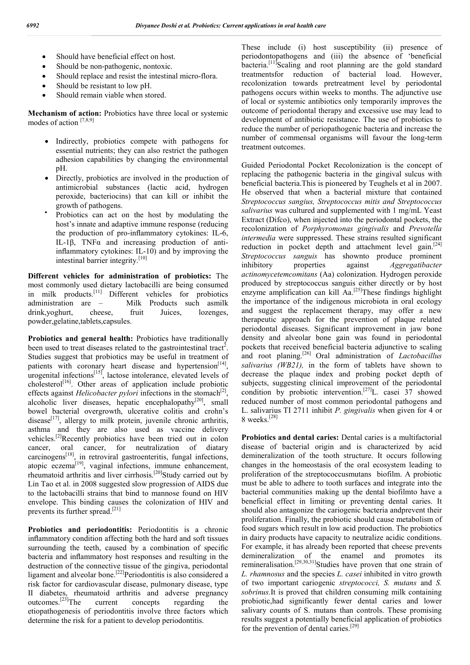- Should have beneficial effect on host.
- Should be non-pathogenic, nontoxic.
- Should replace and resist the intestinal micro-flora.
- Should be resistant to low pH.
- Should remain viable when stored.

**Mechanism of action:** Probiotics have three local or systemic modes of action  $[7,8,9]$ 

- Indirectly, probiotics compete with pathogens for essential nutrients; they can also restrict the pathogen adhesion capabilities by changing the environmental pH.
- Directly, probiotics are involved in the production of antimicrobial substances (lactic acid, hydrogen peroxide, bacteriocins) that can kill or inhibit the growth of pathogens.
- Probiotics can act on the host by modulating the host's innate and adaptive immune response (reducing the production of pro-inflammatory cytokines: IL-6, IL-1β, TNFα and increasing production of antiinflammatory cytokines: IL-10) and by improving the intestinal barrier integrity.[10]

**Different vehicles for administration of probiotics:** The most commonly used dietary lactobacilli are being consumed in milk products.[11] Different vehicles for probiotics administration are – Milk Products such asmilk drink,yoghurt, cheese, fruit Juices, lozenges, powder,gelatine,tablets,capsules.

**Probiotics and general health:** Probiotics have traditionally been used to treat diseases related to the gastrointestinal tract<sup>2</sup>. Studies suggest that probiotics may be useful in treatment of patients with coronary heart disease and hypertension<sup>[14]</sup>, urogenital infections<sup>[15]</sup>, lactose intolerance, elevated levels of  $cholesterol<sup>[16]</sup>$ . Other areas of application include probiotic effects against *Helicobacter pylori* infections in the stomach<sup>[2]</sup>, alcoholic liver diseases, hepatic encephalopathy<sup>[20]</sup>, small bowel bacterial overgrowth, ulcerative colitis and crohn's disease<sup>[17]</sup>, allergy to milk protein, juvenile chronic arthritis, asthma and they are also used as vaccine delivery vehicles.[2]Recently probiotics have been tried out in colon cancer, oral cancer, for neutralization of diatary carcinogens<sup>[18]</sup>, in retroviral gastroenteritis, fungal infections, atopic eczema<sup>[19]</sup>, vaginal infections, immune enhancement, rheumatoid arthritis and liver cirrhosis.<sup>[20]</sup>Study carried out by Lin Tao et al. in 2008 suggested slow progression of AIDS due to the lactobacilli strains that bind to mannose found on HIV envelope. This binding causes the colonization of HIV and prevents its further spread.<sup>[21]</sup>

**Probiotics and periodontitis:** Periodontitis is a chronic inflammatory condition affecting both the hard and soft tissues surrounding the teeth, caused by a combination of specific bacteria and inflammatory host responses and resulting in the destruction of the connective tissue of the gingiva, periodontal ligament and alveolar bone.<sup>[22]</sup>Periodontitis is also considered a risk factor for cardiovascular disease, pulmonary disease, type II diabetes, rheumatoid arthritis and adverse pregnancy<br>outcomes.<sup>[23]</sup>The current concents regarding the current concepts regarding the etiopathogenesis of periodontitis involve three factors which determine the risk for a patient to develop periodontitis.

These include (i) host susceptibility (ii) presence of periodontopathogens and (iii) the absence of 'beneficial bacteria.<sup>[11]</sup>Scaling and root planning are the gold standard treatmentsfor reduction of bacterial load. However, recolonization towards pretreatment level by periodontal pathogens occurs within weeks to months. The adjunctive use of local or systemic antibiotics only temporarily improves the outcome of periodontal therapy and excessive use may lead to development of antibiotic resistance. The use of probiotics to reduce the number of periopathogenic bacteria and increase the number of commensal organisms will favour the long-term treatment outcomes.

Guided Periodontal Pocket Recolonization is the concept of replacing the pathogenic bacteria in the gingival sulcus with beneficial bacteria.This is pioneered by Teughels et al in 2007. He observed that when a bacterial mixture that contained *Streptococcus sangius, Streptococcus mitis and Streptococcus salivarius* was cultured and supplemented with 1 mg/mL Yeast Extract (Difco), when injected into the periodontal pockets, the recolonization of *Porphyromonas gingivalis* and *Prevotella intermedia* were suppressed. These strains resulted significant reduction in pocket depth and attachment level gain.<sup>[24]</sup> *Streptococcus sanguis* has shownto produce prominent inhibitory properties against *Aggregatibacter actinomycetemcomitans* (Aa) colonization. Hydrogen peroxide produced by streptococcus sanguis either directly or by host enzyme amplification can kill  $Aa$ <sup>[25]</sup>These findings highlight the importance of the indigenous microbiota in oral ecology and suggest the replacement therapy, may offer a new therapeutic approach for the prevention of plaque related periodontal diseases. Significant improvement in jaw bone density and alveolar bone gain was found in periodontal pockets that received beneficial bacteria adjunctive to scaling and root planing.[26] Oral administration of *Lactobacillus salivarius (WB21),* in the form of tablets have shown to decrease the plaque index and probing pocket depth of subjects, suggesting clinical improvement of the periodontal condition by probiotic intervention.<sup>[27]</sup>L. casei  $37$  showed reduced number of most common periodontal pathogens and L. salivarius TI 2711 inhibit *P. gingivalis* when given for 4 or 8 weeks. $[28]$ 

**Probiotics and dental caries:** Dental caries is a multifactorial disease of bacterial origin and is characterized by acid demineralization of the tooth structure. It occurs following changes in the homeostasis of the oral ecosystem leading to proliferation of the streptococcusmutans biofilm. A probiotic must be able to adhere to tooth surfaces and integrate into the bacterial communities making up the dental biofilmto have a beneficial effect in limiting or preventing dental caries. It should also antagonize the cariogenic bacteria andprevent their proliferation. Finally, the probiotic should cause metabolism of food sugars which result in low acid production. The probiotics in dairy products have capacity to neutralize acidic conditions. For example, it has already been reported that cheese prevents demineralization of the enamel and promotes its remineralisation.<sup>[29,30,31]</sup>Studies have proven that one strain of *L. rhamnosus* and the species *L. casei* inhibited in vitro growth of two important cariogenic *streptococci, S. mutans* and *S. sobrinus.*It is proved that children consuming milk containing probiotic,had significantly fewer dental caries and lower salivary counts of S. mutans than controls. These promising results suggest a potentially beneficial application of probiotics for the prevention of dental caries.[29]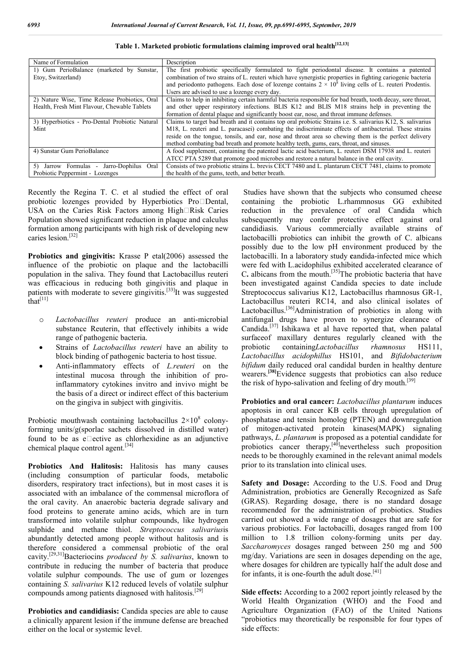| Name of Formulation                            | Description                                                                                                         |
|------------------------------------------------|---------------------------------------------------------------------------------------------------------------------|
| 1) Gum PerioBalance (marketed by Sunstar,      | The first probiotic specifically formulated to fight periodontal disease. It contains a patented                    |
| Etoy, Switzerland)                             | combination of two strains of L. reuteri which have synergistic properties in fighting cariogenic bacteria          |
|                                                | and periodonto pathogens. Each dose of lozenge contains $2 \times 10^8$ living cells of L. reuteri Prodentis.       |
|                                                | Users are advised to use a lozenge every day.                                                                       |
| 2) Nature Wise, Time Release Probiotics, Oral  | Claims to help in inhibiting certain harmful bacteria responsible for bad breath, tooth decay, sore throat,         |
| Health, Fresh Mint Flavour, Chewable Tablets   | and other upper respiratory infections. BLIS K12 and BLIS M18 strains help in preventing the                        |
|                                                | formation of dental plaque and significantly boost ear, nose, and throat immune defenses.                           |
| 3) Hyperbiotics - Pro-Dental Probiotic Natural | Claims to target bad breath and it contains top oral probiotic Strains <i>i.e.</i> S. salivarius K12, S. salivarius |
| Mint                                           | M18, L. reuteri and L. paracasei) combating the indiscriminate effects of antibacterial. These strains              |
|                                                | reside on the tongue, tonsils, and ear, nose and throat area so chewing them is the perfect delivery                |
|                                                | method combating bad breath and promote healthy teeth, gums, ears, throat, and sinuses.                             |
| 4) Sunstar Gum PerioBalance                    | A food supplement, containing the patented lactic acid bacterium, L. reuteri DSM 17938 and L. reuteri               |
|                                                | ATCC PTA 5289 that promote good microbes and restore a natural balance in the oral cavity.                          |
| 5) Jarrow Formulas -<br>Jarro-Dophilus<br>Oral | Consists of two probiotic strains L. brevis CECT 7480 and L. plantarum CECT 7481, claims to promote                 |
| Probiotic Peppermint - Lozenges                | the health of the gums, teeth, and better breath.                                                                   |

**Table 1. Marketed probiotic formulations claiming improved oral health[12,13]**

Recently the Regina T. C. et al studied the effect of oral probiotic lozenges provided by Hyperbiotics Pro $\square$ Dental, USA on the Caries Risk Factors among High $\Box$ Risk Caries Population showed significant reduction in plaque and calculus formation among participants with high risk of developing new caries lesion.[32]

**Probiotics and gingivitis:** Krasse P etal(2006) assessed the influence of the probiotic on plaque and the lactobacilli population in the saliva. They found that Lactobacillus reuteri was efficacious in reducing both gingivitis and plaque in patients with moderate to severe gingivitis.<sup>[33]</sup>It was suggested that $\overline{[11]}$ 

- o *Lactobacillus reuteri* produce an anti-microbial substance Reuterin, that effectively inhibits a wide range of pathogenic bacteria.
- Strains of *Lactobacillus reuteri* have an ability to block binding of pathogenic bacteria to host tissue.
- Anti-inflammatory effects of *L.reuteri* on the intestinal mucosa through the inhibition of proinflammatory cytokines invitro and invivo might be the basis of a direct or indirect effect of this bacterium on the gingiva in subject with gingivitis.

Probiotic mouthwash containing lactobacillus  $2\times10^8$  colonyforming units/g(sporlac sachets dissolved in distilled water) found to be as  $e$ ective as chlorhexidine as an adjunctive chemical plaque control agent.[34]

**Probiotics And Halitosis:** Halitosis has many causes (including consumption of particular foods, metabolic disorders, respiratory tract infections), but in most cases it is associated with an imbalance of the commensal microflora of the oral cavity. An anaerobic bacteria degrade salivary and food proteins to generate amino acids, which are in turn transformed into volatile sulphur compounds, like hydrogen sulphide and methane thiol. *Streptococcus salivarius*is abundantly detected among people without halitosis and is therefore considered a commensal probiotic of the oral cavity.[29,31]Bacteriocins *produced by S. salivarius*, known to contribute in reducing the number of bacteria that produce volatile sulphur compounds. The use of gum or lozenges containing *S. salivarius* K12 reduced levels of volatile sulphur compounds among patients diagnosed with halitosis.[29]

**Probiotics and candidiasis:** Candida species are able to cause a clinically apparent lesion if the immune defense are breached either on the local or systemic level.

Studies have shown that the subjects who consumed cheese containing the probiotic L.rhammnosus GG exhibited reduction in the prevalence of oral Candida which subsequently may confer protective effect against oral candidiasis. Various commercially available strains of lactobacilli probiotics can inhibit the growth of C. albicans possibly due to the low pH environment produced by the lactobacilli. In a laboratory study **c**andida-infected mice which were fed with L.acidophilus exhibited accelerated clearance of C. albicans from the mouth.<sup>[35]</sup>The probiotic bacteria that have been investigated against Candida species to date include Streptococcus salivarius K12, Lactobacillus rhamnosus GR-1, Lactobacillus reuteri RC14, and also clinical isolates of Lactobacillus.<sup>[36]</sup>Administration of probiotics in along with antifungal drugs have proven to synergize clearance of Candida.[37] Ishikawa et al have reported that, when palatal surfaceof maxillary dentures regularly cleaned with the probiotic containing*Lactobacillus rhamnosus* HS111, *Lactobacillus acidophillus* HS101, and *Bifidobacterium bifidum* daily reduced oral candidal burden in healthy denture wearers.**[38]**Evidence suggests that probiotics can also reduce the risk of hypo-salivation and feeling of dry mouth.<sup>[39]</sup>

**Probiotics and oral cancer:** *Lactobacillus plantarum* induces apoptosis in oral cancer KB cells through upregulation of phosphatase and tensin homolog (PTEN) and downregulation of mitogen-activated protein kinases(MAPK) signaling pathways, *L. plantarum* is proposed as a potential candidate for probiotics cancer therapy, $[40]$ nevertheless such proposition needs to be thoroughly examined in the relevant animal models prior to its translation into clinical uses.

**Safety and Dosage:** According to the U.S. Food and Drug Administration, probiotics are Generally Recognized as Safe (GRAS). Regarding dosage, there is no standard dosage recommended for the administration of probiotics. Studies carried out showed a wide range of dosages that are safe for various probiotics. For lactobacilli, dosages ranged from 100 million to 1.8 trillion colony-forming units per day. *Saccharomyces* dosages ranged between 250 mg and 500 mg/day. Variations are seen in dosages depending on the age, where dosages for children are typically half the adult dose and for infants, it is one-fourth the adult dose.<sup>[41]</sup>

**Side effects:** According to a 2002 report jointly released by the World Health Organization (WHO) and the Food and Agriculture Organization (FAO) of the United Nations "probiotics may theoretically be responsible for four types of side effects: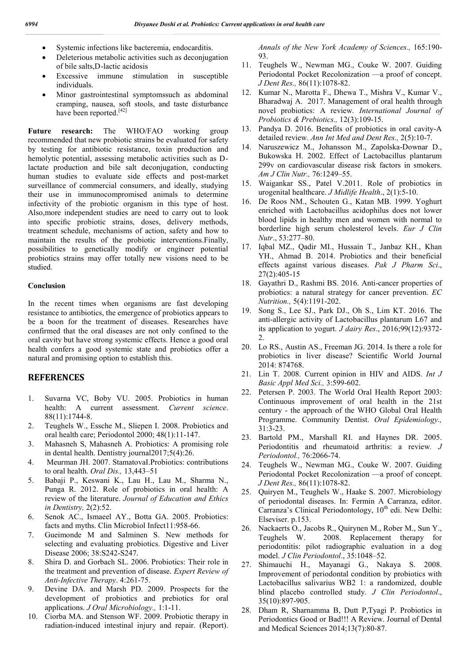- Systemic infections like bacteremia, endocarditis.
- Deleterious metabolic activities such as deconjugation of bile salts,D-lactic acidosis
- Excessive immune stimulation in susceptible individuals.
- Minor gastrointestinal symptomssuch as abdominal cramping, nausea, soft stools, and taste disturbance have been reported.<sup>[42]</sup>

**Future research:** The WHO/FAO working group recommended that new probiotic strains be evaluated for safety by testing for antibiotic resistance, toxin production and hemolytic potential, assessing metabolic activities such as Dlactate production and bile salt deconjugation, conducting human studies to evaluate side effects and post-market surveillance of commercial consumers, and ideally, studying their use in immunocompromised animals to determine infectivity of the probiotic organism in this type of host. Also,more independent studies are need to carry out to look into specific probiotic strains, doses, delivery methods, treatment schedule, mechanisms of action, safety and how to maintain the results of the probiotic interventions.Finally, possibilities to genetically modify or engineer potential probiotics strains may offer totally new visions need to be studied.

#### **Conclusion**

In the recent times when organisms are fast developing resistance to antibiotics, the emergence of probiotics appears to be a boon for the treatment of diseases. Researches have confirmed that the oral diseases are not only confined to the oral cavity but have strong systemic effects. Hence a good oral health confers a good systemic state and probiotics offer a natural and promising option to establish this.

## **REFERENCES**

- 1. Suvarna VC, Boby VU. 2005. Probiotics in human health: A current assessment. *Current science*. 88(11):1744-8.
- 2. Teughels W., Essche M., Sliepen I. 2008. Probiotics and oral health care; Periodontol 2000; 48(1):11-147.
- 3. Mahasneh S, Mahasneh A. Probiotics: A promising role in dental health. Dentistry journal2017;5(4):26.
- 4. Meurman JH. 2007. StamatovaI.Probiotics: contributions to oral health. *Oral Dis.,* 13,443–51
- 5. Babaji P., Keswani K., Lau H., Lau M., Sharma N., Punga R. 2012. Role of probiotics in oral health: A review of the literature. *Journal of Education and Ethics in Dentistry,* 2(2):52.
- 6. Senok AC., Ismaeel AY., Botta GA. 2005. Probiotics: facts and myths. Clin Microbiol Infect11:958-66.
- 7. Gueimonde M and Salminen S. New methods for selecting and evaluating probiotics. Digestive and Liver Disease 2006; 38:S242-S247.
- 8. Shira D. and Gorbach SL. 2006. Probiotics: Their role in the treatment and prevention of disease. *Expert Review of Anti-Infective Therapy*. 4:261-75.
- 9. Devine DA. and Marsh PD. 2009. Prospects for the development of probiotics and prebiotics for oral applications. *J Oral Microbiology.,* 1:1-11.
- 10. Ciorba MA. and Stenson WF. 2009. Probiotic therapy in radiation-induced intestinal injury and repair. (Report).

*Annals of the New York Academy of Sciences.,* 165:190- 93.

- 11. Teughels W., Newman MG., Couke W. 2007. Guiding Periodontal Pocket Recolonization —a proof of concept. *J Dent Res.,* 86(11):1078-82.
- 12. Kumar N., Marotta F., Dhewa T., Mishra V., Kumar V., Bharadwaj A. 2017. Management of oral health through novel probiotics: A review. *International Journal of Probiotics & Prebiotics.,* 12(3):109-15.
- 13. Pandya D. 2016. Benefits of probiotics in oral cavity-A detailed review. *Ann Int Med and Dent Res.,* 2(5):10-7.
- 14. Naruszewicz M., Johansson M., Zapolska-Downar D., Bukowska H. 2002. Effect of Lactobacillus plantarum 299v on cardiovascular disease risk factors in smokers. *Am J Clin Nutr.,* 76:1249–55.
- 15. Waigankar SS., Patel V.2011. Role of probiotics in urogenital healthcare. *J Midlife Health*., 2(1):5-10.
- 16. De Roos NM., Schouten G., Katan MB. 1999. Yoghurt enriched with Lactobacillus acidophilus does not lower blood lipids in healthy men and women with normal to borderline high serum cholesterol levels. *Eur J Clin Nutr*., 53:277–80.
- 17. Iqbal MZ., Qadir MI., Hussain T., Janbaz KH., Khan YH., Ahmad B. 2014. Probiotics and their beneficial effects against various diseases. *Pak J Pharm Sci*., 27(2):405-15
- 18. Gayathri D., Rashmi BS. 2016. Anti-cancer properties of probiotics: a natural strategy for cancer prevention. *EC Nutrition.,* 5(4):1191-202.
- 19. Song S., Lee SJ., Park DJ., Oh S., Lim KT. 2016. The anti-allergic activity of Lactobacillus plantarum L67 and its application to yogurt. *J dairy Res*., 2016;99(12):9372- 2.
- 20. Lo RS., Austin AS., Freeman JG. 2014. Is there a role for probiotics in liver disease? Scientific World Journal 2014: 874768.
- 21. Lin T. 2008. Current opinion in HIV and AIDS. *Int J Basic Appl Med Sci.,* 3:599-602.
- 22. Petersen P. 2003. The World Oral Health Report 2003: Continuous improvement of oral health in the 21st century - the approach of the WHO Global Oral Health Programme. Community Dentist. *Oral Epidemiology.,* 31:3-23.
- 23. Bartold PM., Marshall RI. and Haynes DR. 2005. Periodontitis and rheumatoid arthritis: a review*. J Periodontol.,* 76:2066-74.
- 24. Teughels W., Newman MG., Couke W. 2007. Guiding Periodontal Pocket Recolonization —a proof of concept. *J Dent Res.,* 86(11):1078-82.
- 25. Quiryen M., Teughels W., Haake S. 2007. Microbiology of periodontal diseases. In: Fermin A Carranza, editor. Carranza's Clinical Periodontology,  $10<sup>th</sup>$  edi. New Delhi: Elseviser. p.153.
- 26. Nackaerts O., Jacobs R., Quirynen M., Rober M., Sun Y., Teughels W. 2008. Replacement therapy for periodontitis: pilot radiographic evaluation in a dog model. *J Clin Periodontol*., 35:1048–52.
- 27. Shimauchi H., Mayanagi G., Nakaya S. 2008. Improvement of periodontal condition by probiotics with Lactobacillus salivarius WB2 1: a randomized, double blind placebo controlled study. *J Clin Periodontol*., 35(10):897-905.
- 28. Dham R, Sharnamma B, Dutt P,Tyagi P. Probiotics in Periodontics Good or Bad!!! A Review. Journal of Dental and Medical Sciences 2014;13(7):80-87.